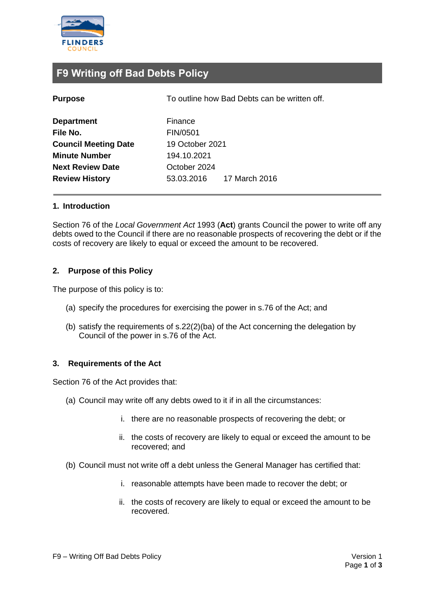

### **F9 Writing off Bad Debts Policy**

To outline how Bad Debts can be written off.

| <b>Department</b>           | Finance                     |
|-----------------------------|-----------------------------|
| File No.                    | FIN/0501                    |
| <b>Council Meeting Date</b> | 19 October 2021             |
| <b>Minute Number</b>        | 194.10.2021                 |
| <b>Next Review Date</b>     | October 2024                |
| <b>Review History</b>       | 17 March 2016<br>53.03.2016 |

#### **1. Introduction**

Section 76 of the *Local Government Act* 1993 (**Act**) grants Council the power to write off any debts owed to the Council if there are no reasonable prospects of recovering the debt or if the costs of recovery are likely to equal or exceed the amount to be recovered.

#### **2. Purpose of this Policy**

The purpose of this policy is to:

- (a) specify the procedures for exercising the power in s.76 of the Act; and
- (b) satisfy the requirements of s.22(2)(ba) of the Act concerning the delegation by Council of the power in s.76 of the Act.

#### **3. Requirements of the Act**

Section 76 of the Act provides that:

- (a) Council may write off any debts owed to it if in all the circumstances:
	- i. there are no reasonable prospects of recovering the debt; or
	- ii. the costs of recovery are likely to equal or exceed the amount to be recovered; and
- (b) Council must not write off a debt unless the General Manager has certified that:
	- i. reasonable attempts have been made to recover the debt; or
	- ii. the costs of recovery are likely to equal or exceed the amount to be recovered.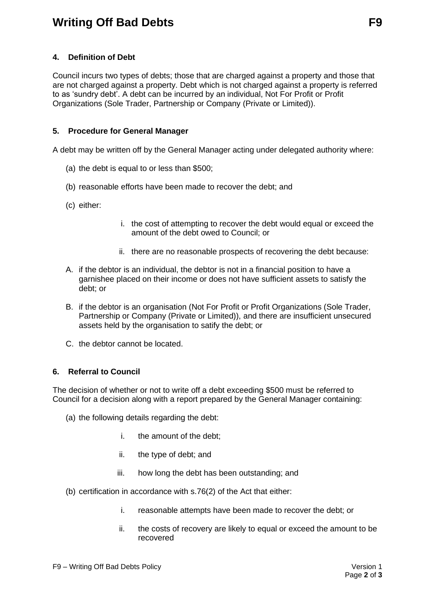## **Writing Off Bad Debts F9**

#### **4. Definition of Debt**

Council incurs two types of debts; those that are charged against a property and those that are not charged against a property. Debt which is not charged against a property is referred to as 'sundry debt'. A debt can be incurred by an individual, Not For Profit or Profit Organizations (Sole Trader, Partnership or Company (Private or Limited)).

#### **5. Procedure for General Manager**

A debt may be written off by the General Manager acting under delegated authority where:

- (a) the debt is equal to or less than \$500;
- (b) reasonable efforts have been made to recover the debt; and
- (c) either:
- i. the cost of attempting to recover the debt would equal or exceed the amount of the debt owed to Council; or
- ii. there are no reasonable prospects of recovering the debt because:
- A. if the debtor is an individual, the debtor is not in a financial position to have a garnishee placed on their income or does not have sufficient assets to satisfy the debt; or
- B. if the debtor is an organisation (Not For Profit or Profit Organizations (Sole Trader, Partnership or Company (Private or Limited)), and there are insufficient unsecured assets held by the organisation to satify the debt; or
- C. the debtor cannot be located.

#### **6. Referral to Council**

The decision of whether or not to write off a debt exceeding \$500 must be referred to Council for a decision along with a report prepared by the General Manager containing:

- (a) the following details regarding the debt:
	- i. the amount of the debt;
	- ii. the type of debt; and
	- iii. how long the debt has been outstanding; and
- (b) certification in accordance with s.76(2) of the Act that either:
	- i. reasonable attempts have been made to recover the debt; or
	- ii. the costs of recovery are likely to equal or exceed the amount to be recovered